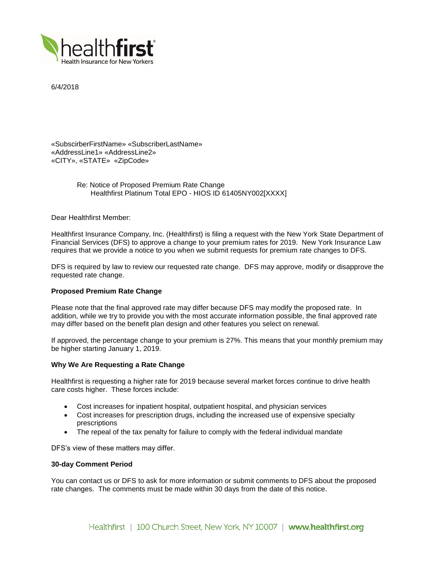

6/4/2018

«SubscirberFirstName» «SubscriberLastName» «AddressLine1» «AddressLine2» «CITY», «STATE» «ZipCode»

> Re: Notice of Proposed Premium Rate Change Healthfirst Platinum Total EPO - HIOS ID 61405NY002[XXXX]

Dear Healthfirst Member:

Healthfirst Insurance Company, Inc. (Healthfirst) is filing a request with the New York State Department of Financial Services (DFS) to approve a change to your premium rates for 2019. New York Insurance Law requires that we provide a notice to you when we submit requests for premium rate changes to DFS.

DFS is required by law to review our requested rate change. DFS may approve, modify or disapprove the requested rate change.

# **Proposed Premium Rate Change**

Please note that the final approved rate may differ because DFS may modify the proposed rate. In addition, while we try to provide you with the most accurate information possible, the final approved rate may differ based on the benefit plan design and other features you select on renewal.

If approved, the percentage change to your premium is 27%. This means that your monthly premium may be higher starting January 1, 2019.

## **Why We Are Requesting a Rate Change**

Healthfirst is requesting a higher rate for 2019 because several market forces continue to drive health care costs higher. These forces include:

- Cost increases for inpatient hospital, outpatient hospital, and physician services
- Cost increases for prescription drugs, including the increased use of expensive specialty prescriptions
- The repeal of the tax penalty for failure to comply with the federal individual mandate

DFS's view of these matters may differ.

## **30-day Comment Period**

You can contact us or DFS to ask for more information or submit comments to DFS about the proposed rate changes. The comments must be made within 30 days from the date of this notice.